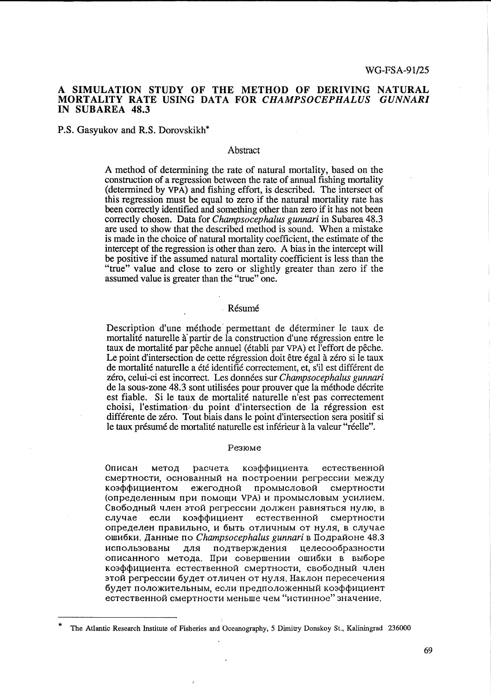# A SIMULATION STUDY OF THE METHOD OF DERIVING NATURAL MORTALITY RATE USING DATA FOR *CHAMPSOCEPHALUS GUNNARI*  IN SUBAREA 48.3

P.S. Gasyukov and R.S. Dorovskikh\*

# **Abstract**

A method of determining the rate of natural mortality, based on the construction of a regression between the rate of annual fishing mortality (determined by VPA) and fishing effort, is described. The intersect of this regression must be equal to zero if the natural mortality rate has been correctly identified and something other than zero if it has not been correctly chosen. Data for *Champsocephalus gunnari* in Subarea 48.3 are used to show that the described method is sound. When a mistake is made in the choice of natural mortality coefficient, the estimate of the intercept of the regression is other than zero. A bias in the intercept will be positive if the assumed natural mortality coefficient is less than the "true" value and close to zero or slightly greater than zero if the assumed value is greater than the "true" one.

#### . Resume

Description d'une méthode permettant de déterminer le taux de mortalité naturelle à partir de la construction d'une régression entre le taux de mortalité par pêche annuel (établi par VPA) et l'effort de pêche. Le point d'intersection de cette régression doit être égal à zéro si le taux de mortalite naturelle a ete identifie correctement, et, s'il est different de zero, celui-ci est incorrect. Les donnees sur *Champsocephalus gunnari*  de la sous-zone 48.3 sont utilisées pour prouver que la méthode décrite est fiable. Si le taux de mortalité naturelle n'est pas correctement choisi, l'estimation du point d'intersection de la régression est différente de zéro. Tout biais dans le point d'intersection sera positif si le taux présumé de mortalité naturelle est inférieur à la valeur "réelle".

### Pe310Me

Описан метод расчета коэффициента естественной смертности, основанный на построении регрессии между коэффициентом ежегодной промысловой смертности (определенным при помощи VPA) и промысловым усилием. Свободный член этой регрессии должен равняться нулю, в случае если коэффициент естественной смертности определен правильно, и быть отличным от нуля, в случае ошибки. Данные по *Champsocephalus gunnari* в Подрайоне 48.3 использованы для подтверждения целесообразности описанного метода. При совершении ошибки в выборе коэффициента естественной смертности, свободный член этой регрессии будет отличен от нуля. Наклон пересечения будет положительным, если предположенный коэффициент естественной смертности меньше чем "истинное" значение.

<sup>\*</sup>  The Atlantic Research Institute of Fisheries and Dceanography, 5 Dimitry Donskoy St., Kaliningrad 236000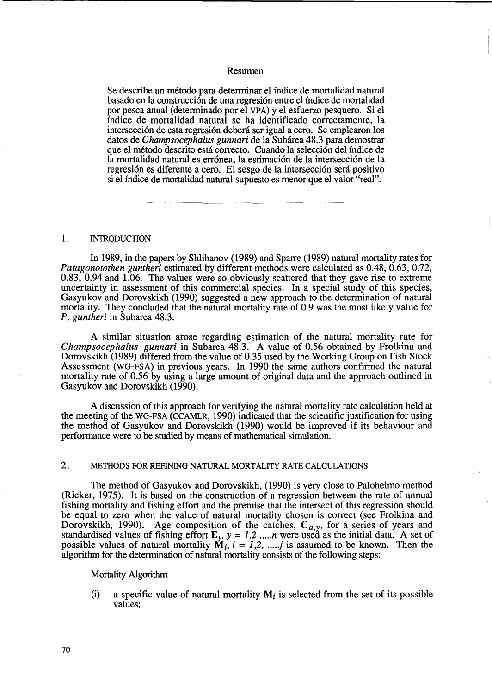### Resumen

Se describe un metodo para determinar el indice de mortalidad natural basado en la construcción de una regresión entre el índice de mortalidad por pesca anual (determinado por el VPA) y el esfuerzo pesquero. Si el indice de mortalidad natural se ha identificado correctamente, la intersección de esta regresión deberá ser igual a cero. Se emplearon los datos de *Champsocephalus gunnari* de la Subarea 48.3 para demostrar que el método descrito está correcto. Cuando la selección del índice de la mortalidad natural es errónea, la estimación de la intersección de la regresión es diferente a cero. El sesgo de la intersección será positivo si el indice de mortalidad natural supuesto es menor que el valor "real".

### 1. INTRODUCTION

In 1989, in the papers by Shlibanov (1989) and Sparre (1989) natural mortality rates for *Patagonotothen guntheri* estimated by different methods were calculated as 0.48, 0.63, 0.72, 0.83, 0.94 and 1.06. The values were so obviously scattered that they gave rise to extreme uncertainty in assessment of this commercial species. In a special study of this species, Gasyukov and Dorovskikh (1990) suggested a new approach to the determination of natural mortality. They concluded that the natural mortality rate of 0.9 was the most likely value for *P. guntheri* in Subarea 48.3.

A similar situation arose regarding estimation of the natural mortality rate for *Champsocephalus gunnari* in Subarea 48.3. A value of 0.56 obtained by Frolkina and Dorovskikh (1989) differed from the value of 0.35 used by the Working Group on Fish Stock Assessment (WG-FSA) in previous years. In 1990 the same authors confirmed the natural mortality rate of 0.56 by using a large amount of original data and the approach outlined in Gasyukov and Dorovskikh (1990).

A discussion of this approach for verifying the natural mortality rate calculation held at the meeting of the WG-FSA (CCAMLR, 1990) indicated that the scientific justification for using the method of Gasyukov and Dorovskikh (1990) would be improved if its behaviour and performance were to be studied by means of mathematical simulation.

# 2. METHODS FOR REFINING NATURAL MORTALITY RATE CALCULATIONS

The method of Gasyukov and Dorovskikh, (1990) is very close to Paloheimo method (Ricker, 1975). It is based on the construction of a regression between the rate of annual fishing mortality and fishing effort and the premise that the intersect of this regression should be equal to zero when the value of natural mortality chosen is correct (see Frolkina and Dorovskikh, 1990). Age composition of the catches,  $C_{a,y}$ , for a series of years and standardised values of fishing effort  $E_y$ ,  $y = 1,2$  ..... *n* were used as the initial data. A set of possible values of natural mortality  $M_i$ ,  $i = 1, 2, \dots, j$  is assumed to be known. Then the algorithm for the determination of natural mortality consists of the following steps:

Mortality Algorithm

(i) a specific value of natural mortality  $M_i$  is selected from the set of its possible values;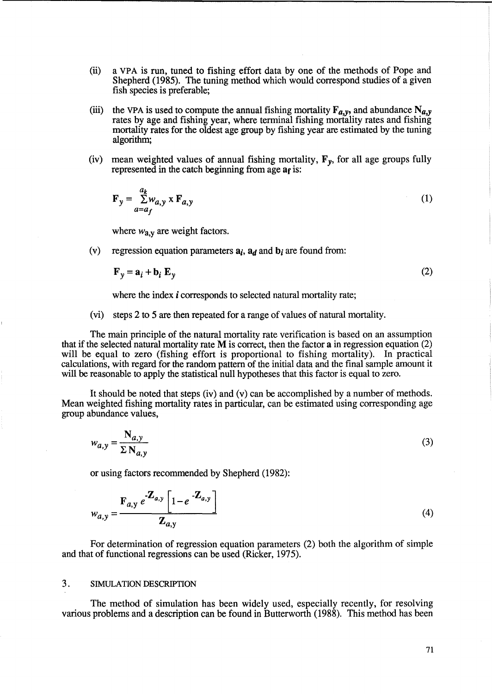- (ii) a VPA is run, tuned to fishing effort data by one of the methods of Pope and Shepherd (1985). The tuning method which would correspond studies of a given fish species is preferable;
- (iii) the VPA is used to compute the annual fishing mortality  $F_{a,y}$ , and abundance  $N_{a,y}$ rates by age and fishing year, where terminal fishing mortality rates and fishing mortality rates for the oldest age group by fishing year are estimated by the tuning algorithm;
- (iv) mean weighted values of annual fishing mortality,  $\mathbf{F}_v$ , for all age groups fully represented in the catch beginning from age ar is:

$$
\mathbf{F}_y = \sum_{a=a_f}^{a_k} w_{a,y} \times \mathbf{F}_{a,y} \tag{1}
$$

where  $w_{a,v}$  are weight factors.

(v) regression equation parameters  $a_i$ ,  $a_d$  and  $b_i$  are found from:

$$
\mathbf{F}_{\mathbf{y}} = \mathbf{a}_i + \mathbf{b}_i \mathbf{E}_{\mathbf{y}} \tag{2}
$$

where the index *i* corresponds to selected natural mortality rate;

(vi) steps 2 to 5 are then repeated for a range of values of natural mortality.

The main principle of the natural mortality rate verification is based on an assumption that if the selected natural mortality rate M is correct, then the factor a in regression equation (2) will be equal to zero (fishing effort is proportional to fishing mortality). In practical calculations, with regard for the random pattern of the initial data and the final sample amount it will be reasonable to apply the statistical null hypotheses that this factor is equal to zero.

It should be noted that steps (iv) and (v) can be accomplished by a number of methods. Mean weighted fishing mortality rates in particular, can be estimated using corresponding age group abundance values,

$$
w_{a,y} = \frac{\mathbf{N}_{a,y}}{\Sigma \mathbf{N}_{a,y}}\tag{3}
$$

or using factors recommended by Shepherd (1982):

$$
w_{a,y} = \frac{\mathbf{F}_{a,y} e^{-\mathbf{Z}_{a,y}} \left[1 - e^{-\mathbf{Z}_{a,y}}\right]}{\mathbf{Z}_{a,y}}
$$
(4)

For determination of regression equation parameters (2) both the algorithm of simple and that of functional regressions can be used (Ricker, 1975).

# 3. SIMULATION DESCRIPTION

The method of simulation has been widely used, especially recently, for resolving various problems and a description can be found in Butterworth (1988). This method has been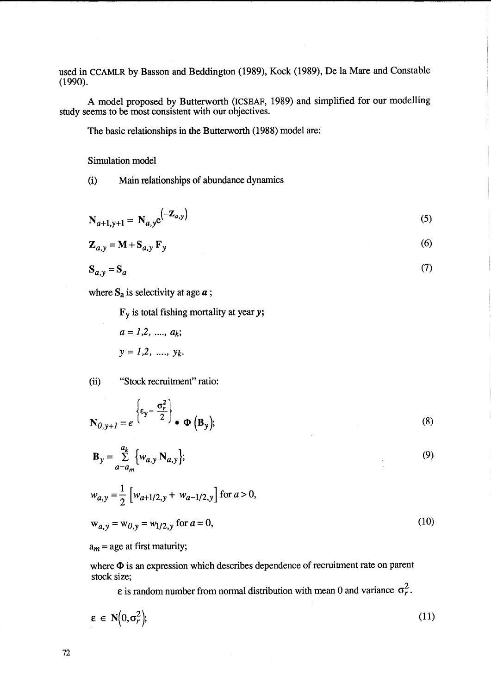used in CCAMLR by Basson and Beddington (1989), Kock (1989), De la Mare and Constable (1990).

A model proposed by Butterworth (ICSEAF, 1989) and simplified for our modelling study seems to be most consistent with our objectives.

The basic relationships in the Butterworth (1988) model are:

Simulation model

(i) Main relationships of abundance dynamics

$$
\mathbf{N}_{a+1,y+1} = \mathbf{N}_{a,y} e^{-\mathbf{Z}_{a,y}}
$$
 (5)

$$
\mathbf{Z}_{a,y} = \mathbf{M} + \mathbf{S}_{a,y} \mathbf{F}_y \tag{6}
$$

$$
S_{a,y} = S_a \tag{7}
$$

where Sa is selectivity at age *a ;* 

 $\mathbf{F}_v$  is total fishing mortality at year y;

$$
a = 1,2, \ldots, a_k;
$$
  
 $y = 1,2, \ldots, y_k.$ 

(ii) "Stock recruitment" ratio:

$$
\mathbf{N}_{0,y+1} = e^{\left\{ \epsilon_y - \frac{\sigma_r^2}{2} \right\}} \bullet \Phi \left( \mathbf{B}_y \right); \tag{8}
$$

$$
\mathbf{B}_{y} = \sum_{a=a_m}^{a_k} \left\{ w_{a,y} \, \mathbf{N}_{a,y} \right\};\tag{9}
$$

$$
w_{a,y} = \frac{1}{2} \left[ w_{a+1/2,y} + w_{a-1/2,y} \right] \text{ for } a > 0,
$$
  

$$
w_{a,y} = w_{0,y} = w_{1/2,y} \text{ for } a = 0,
$$
 (10)

 $a_m$  = age at first maturity;

where  $\Phi$  is an expression which describes dependence of recruitment rate on parent stock size;

 $\epsilon$  is random number from normal distribution with mean 0 and variance  $\sigma_r^2$ .

$$
\varepsilon \in \mathbb{N}\big(0, \sigma_r^2\big); \tag{11}
$$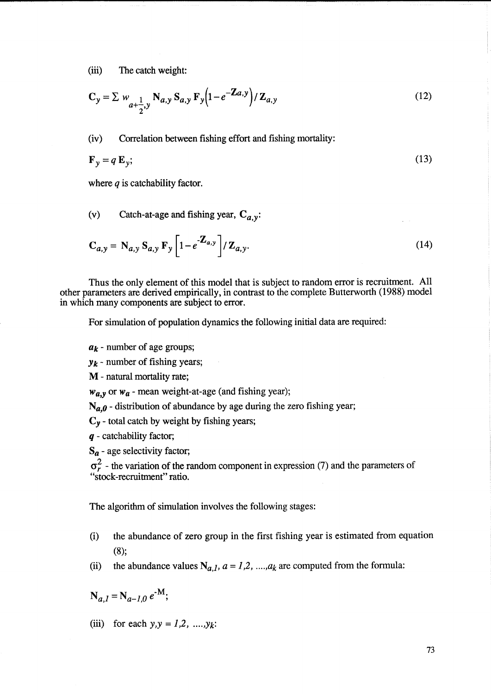(iii) The catch weight:

$$
C_y = \sum w_{a + \frac{1}{2},y} N_{a,y} S_{a,y} F_y (1 - e^{-Z_{a,y}}) / Z_{a,y}
$$
 (12)

(iv) Correlation between fishing effort and fishing mortality:

$$
\mathbf{F}_y = q \mathbf{E}_y; \tag{13}
$$

where *q* is catchability factor.

(v) Catch-at-age and fishing year,  $C_{a,y}$ :

$$
\mathbf{C}_{a,y} = \mathbf{N}_{a,y} \mathbf{S}_{a,y} \mathbf{F}_y \left[ 1 - e^{-\mathbf{Z}_{a,y}} \right] / \mathbf{Z}_{a,y}.
$$
 (14)

Thus the only element of this model that is subject to random error is recruitment. All other parameters are derived empirically, in contrast to the complete Butterworth (1988) model in which many components are subject to error.

For simulation of population dynamics the following initial data are required:

 $a_k$  - number of age groups;

 $y_k$  - number of fishing years;

M - natural mortality rate;

*Wa,y* or *Wa* - mean weight-at-age (and fishing year);

 $N_{a,0}$  - distribution of abundance by age during the zero fishing year;

 $C_v$  - total catch by weight by fishing years;

*q* - catchability factor;

*Sa* - age selectivity factor;

 $\sigma_r^2$  - the variation of the random component in expression (7) and the parameters of "stock-recruitment" ratio.

The algorithm of simulation involves the following stages:

- (i) the abundance of zero group in the first fishing year is estimated from equation (8);
- (ii) the abundance values  $N_{a,l}$ ,  $a = 1,2, ..., a_k$  are computed from the formula:

 $N_{a,I} = N_{a-I,0} e^{-M};$ 

(iii) for each  $y, y = 1, 2, ..., y_k$ :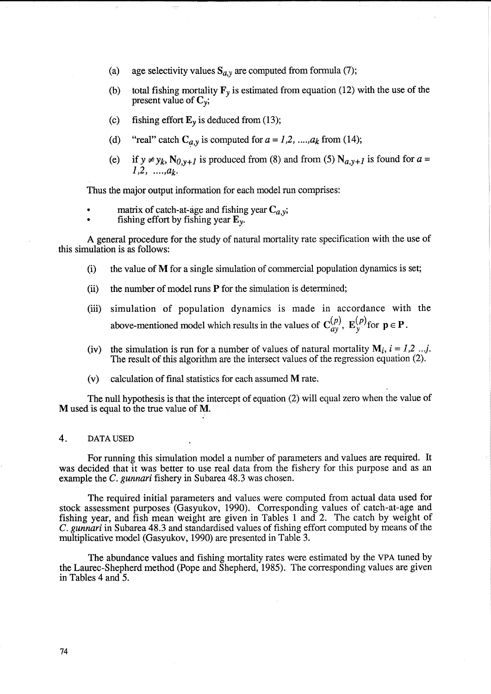- (a) age selectivity values  $S_{a,y}$  are computed from formula (7);
- (b) total fishing mortality  $\mathbf{F}_v$  is estimated from equation (12) with the use of the present value of  $C_v$ ;
- (c) fishing effort  $E_v$  is deduced from (13);
- (d) "real" catch  $C_{a,y}$  is computed for  $a = 1,2, ..., a_k$  from (14);
- (e) if  $y \neq y_k$ ,  $N_{0,y+1}$  is produced from (8) and from (5)  $N_{a,y+1}$  is found for  $a =$  $1.2.$  ...., $a_k$ .

Thus the major output information for each model run comprises:

- matrix of catch-at-age and fishing year  $C_{a,y}$ ;
- fishing effort by fishing year E*y •*

 $\hat{\mathcal{A}}$ 

A general procedure for the study of natural mortality rate specification with the use of this simulation is as follows:

- (i) the value of M for a single simulation of commercial population dynamics is set;
- (ii) the number of model runs  $P$  for the simulation is determined;
- (iii) simulation of population dynamics is made in accordance with the above-mentioned model which results in the values of  $C_{av}^{(p)}$ ,  $E_{\nu}^{(p)}$  for  $p \in P$ .
- (iv) the simulation is run for a number of values of natural mortality  $M_i$ ,  $i = 1,2$  ...; The result of this algorithm are the intersect values of the regression equation (2).
- (v) calculation of final statistics for each assumed M rate.

The null hypothesis is that the intercept of equation (2) will equal zero when the value of M used is equal to the true value of M.

# 4. DATA USED

For running this simulation model a number of parameters and values are required. It was decided that it was better to use real data from the fishery for this purpose and as an example the C. *gunnari* fishery in Subarea 48.3 was chosen.

The required initial parameters and values were computed from actual data used for stock assessment purposes (Gasyukov, 1990). Corresponding values of catch-at-age and fishing year, and fish mean weight are given in Tables 1 and 2. The catch by weight of C. *gunnari* in Subarea 48.3 and standardised values of fishing effort computed by means of the multiplicative model (Gasyukov, 1990) are presented in Table 3.

The abundance values and fishing mortality rates were estimated by the VPA tuned by the Laurec-Shepherd method (Pope and Shepherd, 1985). The corresponding values are given in Tables 4 and 5.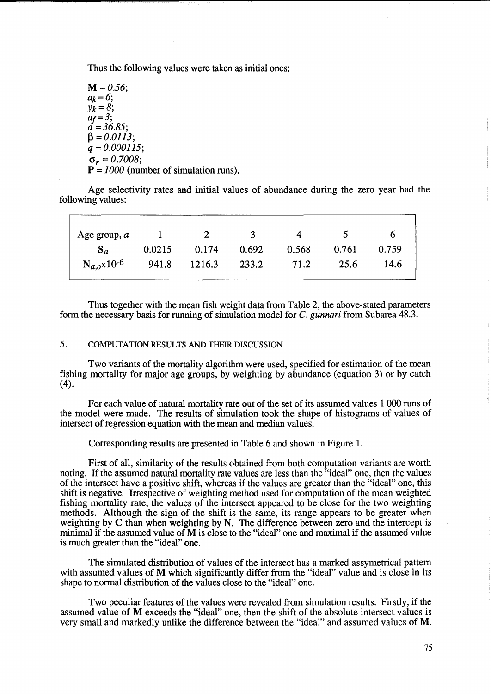Thus the following values were taken as initial ones:

 $M = 0.56$ ;  $a_k=6;$  $y_k=8;$  $a_f = 3;$  $a = 36.85$ ;  $\beta = 0.0113$ ; *q* = 0.000115;  $\sigma_r = 0.7008;$  $P = 1000$  (number of simulation runs).

Age selectivity rates and initial values of abundance during the zero year had the following values:

| Age group, $a = 1$ 2 3 4 5                     |  |                                                  | _ რ         |
|------------------------------------------------|--|--------------------------------------------------|-------------|
| $S_a$                                          |  | $0.0215$ $0.174$ $0.692$ $0.568$ $0.761$ $0.759$ |             |
| $N_{a,o}x10^{-6}$ 941.8 1216.3 233.2 71.2 25.6 |  |                                                  | <b>14.6</b> |
|                                                |  |                                                  |             |

Thus together with the mean fish weight data from Table 2, the above-stated parameters form the necessary basis for running of simulation model for C. *gunnari* from Subarea 48.3.

# 5. COMPUTATION RESULTS AND THEIR DISCUSSION

Two variants of the mortality algorithm were used, specified for estimation of the mean fishing mortality for major age groups, by weighting by abundance (equation 3) or by catch (4).

For each value of natural mortality rate out of the set of its assumed values 1 000 runs of the model were made. The results of simulation took the shape of histograms of values of intersect of regression equation with the mean and median values.

Corresponding results are presented in Table 6 and shown in Figure 1.

First of all, similarity of the results obtained from both computation variants are worth noting. If the assumed natural mortality rate values are less than the "ideal" one, then the values of the intersect have a positive shift, whereas if the values are greater than the "ideal" one, this shift is negative. Irrespective of weighting method used for computation of the mean weighted fishing mortality rate, the values of the intersect appeared to be close for the two weighting methods. Although the sign of the shift is the same, its range appears to be greater when weighting by C than when weighting by N. The difference between zero and the intercept is minimal if the assumed value of **M** is close to the "ideal" one and maximal if the assumed value is much greater than the "ideal" one.

The simulated distribution of values of the intersect has a marked assymetrical pattern with assumed values of M which significantly differ from the "ideal" value and is close in its shape to normal distribution of the values close to the "ideal" one.

Two peculiar features of the values were revealed from simulation results. Firstly, if the assumed value of M exceeds the "ideal" one, then the shift of the absolute intersect values is very small and markedly unlike the difference between the "ideal" and assumed values of M.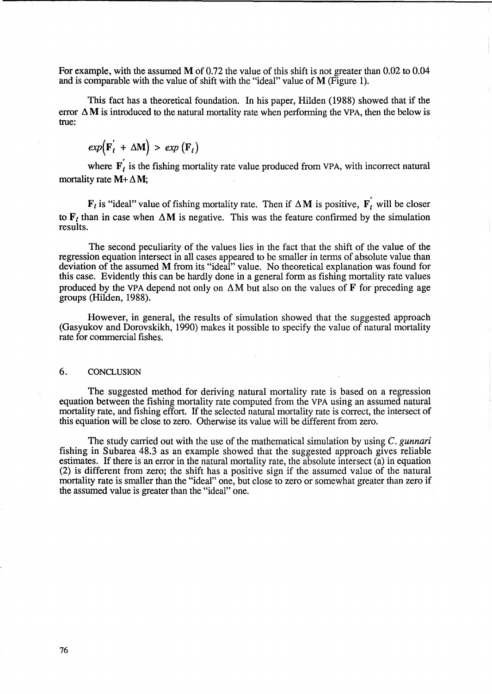For example, with the assumed M of 0.72 the value of this shift is not greater than 0.02 to 0.04 and is comparable with the value of shift with the "ideal" value of M (Figure 1).

This fact has a theoretical foundation. In his paper, Hilden (1988) showed that if the error  $\Delta M$  is introduced to the natural mortality rate when performing the VPA, then the below is true:

$$
exp(\mathbf{F}_t^{'} + \Delta \mathbf{M}) > exp(\mathbf{F}_t)
$$

where  $F_t$  is the fishing mortality rate value produced from VPA, with incorrect natural mortality rate  $M + \Delta M$ ;

 $\mathbf{F}_t$  is "ideal" value of fishing mortality rate. Then if  $\Delta \mathbf{M}$  is positive,  $\mathbf{F}_t$  will be closer to  $\mathbf{F}_t$  than in case when  $\Delta \mathbf{M}$  is negative. This was the feature confirmed by the simulation results.

,

The second peculiarity of the values lies in the fact that the shift of the value of the regression equation intersect in all cases appeared to be smaller in terms of absolute value than deviation of the assumed M from its "ideal" value. No theoretical explanation was found for this case. Evidently this can be hardly done in a general form as fishing mortality rate values produced by the VPA depend not only on  $\Delta M$  but also on the values of F for preceding age groups (Hilden, 1988).

However, in general, the results of simulation showed that the suggested approach (Gasyukov and Dorovskikh, 1990) makes it possible to specify the value of natural mortality rate for commercial fishes.

#### 6. CONCLUSION

The suggested method for deriving natural mortality rate is based on a regression equation between the fishing mortality rate computed from the VPA using an assumed natural mortality rate, and fishing effort. If the selected natural mortality rate is correct, the intersect of this equation will be close to zero. Otherwise its value will be different from zero.

The study carried out with the use of the mathematical simulation by using C. *gunnari*  fishing in Subarea 48.3 as an example showed that the suggested approach gives reliable estimates. If there is an error in the natural mortality rate, the absolute intersect (a) in equation (2) is different from zero; the shift has a positive sign if the assumed value of the natural mortality rate is smaller than the "ideal" one, but close to zero or somewhat greater than zero if the assumed value is greater than the "ideal" one.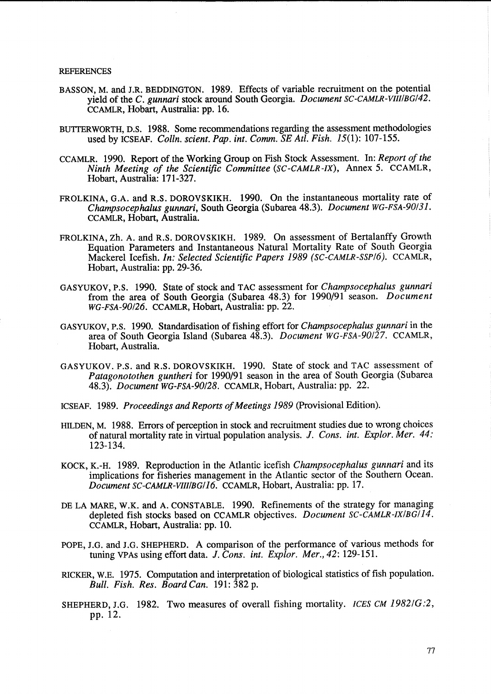#### **REFERENCES**

- BASSON, M. and J.R. BEDDINGTON. 1989. Effects of variable recruitment on the potential yield of the C. *gunnari* stock around South Georgia. *Document SC-CAMLR-V/IIIBG/42.*  CCAMLR, Hobart, Australia: pp. 16.
- BUTTERWORTH, D.S. 1988. Some recommendations regarding the assessment methodologies used by ICSEAF. *Colln. scient. Pap. int. Comm. SE Atl. Fish.* 15(1): 107-155.
- CCAMLR. 1990. Report of the Working Group on Fish Stock Assessment. In: *Report of the Ninth Meeting of the Scientific Committee (SC-CAMLR-IX),* Annex 5. CCAMLR, Hobart, Australia: 171-327.
- FROLKINA, G.A. and R.S. DOROVSKIKH. 1990. On the instantaneous mortality rate of *Champsocephalus gunnari,* South Georgia (Subarea 48.3). *Document WG-FSA-90/31.*  CCAMLR, Hobart, Australia.
- FROLKINA, zh. A. and R.S. DOROVSKIKH. 1989. On assessment of Bertalanffy Growth Equation Parameters and Instantaneous Natural Mortality Rate of South Georgia Mackerel Icefish. *In: Selected Scientific Papers* 1989 *(SC-CAMLR-SSP/6).* CCAMLR, Hobart, Australia: pp. 29-36.
- GASYUKOV, P.S. 1990. State of stock and TAC assessment for *Champsocephalus gunnari*  from the area of South Georgia (Subarea 48.3) for 1990/91 season. *Document WG-FSA-90126.* CCAMLR, Hobart, Australia: pp. 22.
- GASYUKOV, P.S. 1990. Standardisation of fishing effort for *Champsocephalus gunnari* in the area of South Georgia Island (Subarea 48.3). *Document WG-FSA-90127.* CCAMLR, Hobart, Australia.
- GASYUKOV. P.S. and R.S. DOROVSKIKH. 1990. State of stock and TAC assessment of *Patagonotothen guntheri* for 1990/91 season in the area of South Georgia (Subarea *48.3). Document WG-FSA-90/28.* CCAMLR, Hobart, Australia: pp. 22.
- ICSEAF. 1989. *Proceedings and Reports of Meetings* 1989 (Provisional Edition).
- HILDEN, M. 1988. Errors of perception in stock and recruitment studies due to wrong choices of natural mortality rate in virtual population analysis. *J. Cons. int. Explor. Mer. 44:* 123-134.
- KOCK, K.-H. 1989. Reproduction in the Atlantic icefish *Champsocephalus gunnari* and its implications for fisheries management in the Atlantic sector of the Southern Ocean. *Document SC-CAMLR-VIIIIBGI16.* CCAMLR, Hobart, Australia: pp. 17.
- DE LA MARE, W.K. and A. CONSTABLE. 1990. Refinements of the strategy for managing depleted fish stocks based on CCAMLR objectives. *Document SC-CAMLR-IXIBG/14.*  CCAMLR, Hobart, Australia: pp. 10.
- POPE, LG. and J.G. SHEPHERD. A comparison of the performance of various methods for tuning VPAs using effort data. J. Cons. int. Explor. Mer., 42: 129-151.
- RICKER, W.E. 1975. Computation and interpretation of biological statistics of fish population. *Bull. Fish. Res. Board Can.* 191: 382 p.
- SHEPHERD, LG. 1982. Two measures of overall fishing mortality. *ICES* CM *1982IG:2,*  pp. 12.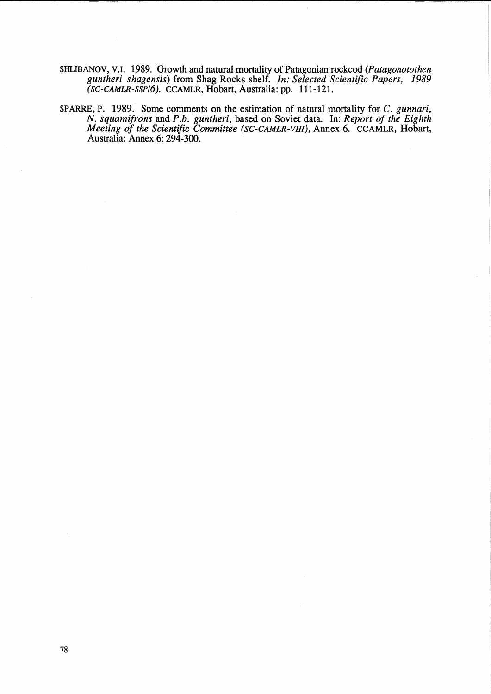- SHLIBANOV, V.I. 1989. Growth and natural mortality of Patagonian rockcod *(Patagonotothen guntheri shagensis)* from Shag Rocks shelf. *In: Selected Scientific Papers, 1989 (SC-CAMLR-SSP/6).* CCAMLR, Hobart, Australia: pp. 111-121.
- SPARRE, P. 1989. Some comments on the estimation of natural mortality for C. *gunnari, N. squamifrons* and *P.b. guntheri,* based on Soviet data. In: *Report of the Eighth Meeting of the Scientific Committee (SC-CAMLR-VIII), Annex 6. CCAMLR, Hobart,* Australia: Annex 6: 294-300.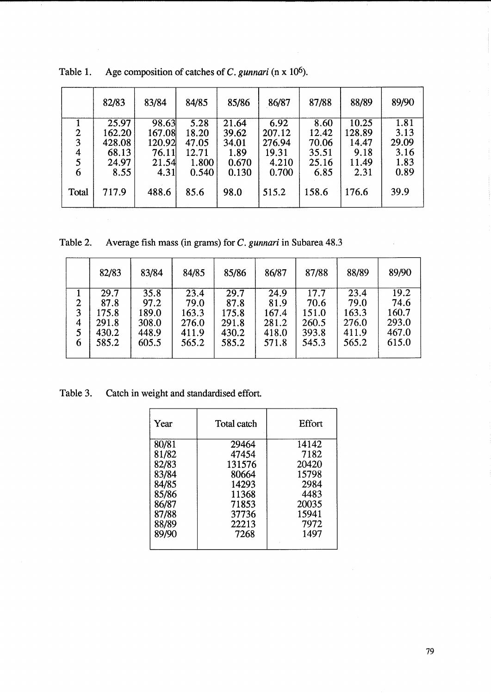|                         | 82/83  | 83/84  | 84/85 | 85/86 | 86/87  | 87/88 | 88/89  | 89/90 |
|-------------------------|--------|--------|-------|-------|--------|-------|--------|-------|
|                         | 25.97  | 98.63  | 5.28  | 21.64 | 6.92   | 8.60  | 10.25  | 1.81  |
| $\mathbf{2}$            | 162.20 | 167.08 | 18.20 | 39.62 | 207.12 | 12.42 | 128.89 | 3.13  |
| 3                       | 428.08 | 120.92 | 47.05 | 34.01 | 276.94 | 70.06 | 14.47  | 29.09 |
| $\overline{\mathbf{4}}$ | 68.13  | 76.11  | 12.71 | 1.89  | 19.31  | 35.51 | 9.18   | 3.16  |
| 5                       | 24.97  | 21.54  | 1.800 | 0.670 | 4.210  | 25.16 | 11.49  | 1.83  |
| 6                       | 8.55   | 4.31   | 0.540 | 0.130 | 0.700  | 6.85  | 2.31   | 0.89  |
| Total                   | 717.9  | 488.6  | 85.6  | 98.0  | 515.2  | 158.6 | 176.6  | 39.9  |

Table 1. Age composition of catches of C. *gunnari* (n x  $10^6$ ).

Table 2. Average fish mass (in grams) for C. *gunnari* in Subarea 48.3

|   | 82/83 | 83/84 | 84/85 | 85/86 | 86/87 | 87/88 | 88/89 | 89/90 |
|---|-------|-------|-------|-------|-------|-------|-------|-------|
|   | 29.7  | 35.8  | 23.4  | 29.7  | 24.9  | 17.7  | 23.4  | 19.2  |
| 2 | 87.8  | 97.2  | 79.0  | 87.8  | 81.9  | 70.6  | 79.0  | 74.6  |
| 3 | 175.8 | 189.0 | 163.3 | 175.8 | 167.4 | 151.0 | 163.3 | 160.7 |
| 4 | 291.8 | 308.0 | 276.0 | 291.8 | 281.2 | 260.5 | 276.0 | 293.0 |
| 5 | 430.2 | 448.9 | 411.9 | 430.2 | 418.0 | 393.8 | 411.9 | 467.0 |
| 6 | 585.2 | 605.5 | 565.2 | 585.2 | 571.8 | 545.3 | 565.2 | 615.0 |
|   |       |       |       |       |       |       |       |       |

Table 3. Catch in weight and standardised effort.

| Year  | Total catch | Effort |
|-------|-------------|--------|
| 80/81 | 29464       | 14142  |
| 81/82 | 47454       | 7182   |
| 82/83 | 131576      | 20420  |
| 83/84 | 80664       | 15798  |
| 84/85 | 14293       | 2984   |
| 85/86 | 11368       | 4483   |
| 86/87 | 71853       | 20035  |
| 87/88 | 37736       | 15941  |
| 88/89 | 22213       | 7972   |
| 89/90 | 7268        | 1497   |
|       |             |        |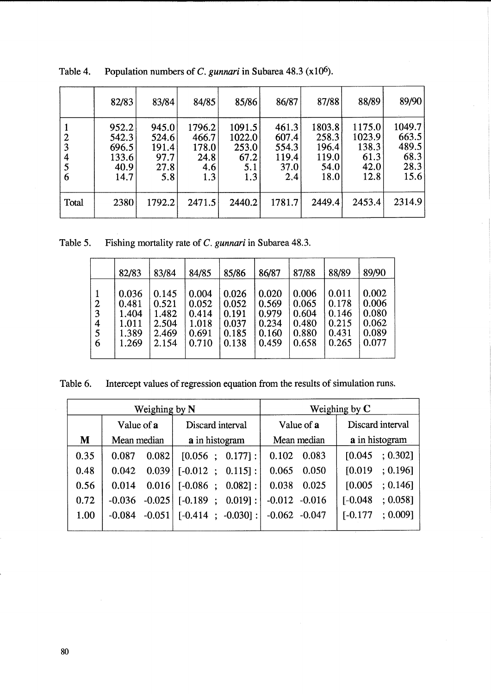|                  | 82/83                                            | 83/84                                          | 84/85                                          | 85/86                                           | 86/87                                           | 87/88                                             | 88/89                                             | 89/90                                            |
|------------------|--------------------------------------------------|------------------------------------------------|------------------------------------------------|-------------------------------------------------|-------------------------------------------------|---------------------------------------------------|---------------------------------------------------|--------------------------------------------------|
| 2<br>4<br>5<br>6 | 952.2<br>542.3<br>696.5<br>133.6<br>40.9<br>14.7 | 945.0<br>524.6<br>191.4<br>97.7<br>27.8<br>5.8 | 1796.2<br>466.7<br>178.0<br>24.8<br>4.6<br>1.3 | 1091.5<br>1022.0<br>253.0<br>67.2<br>5.1<br>1.3 | 461.3<br>607.4<br>554.3<br>119.4<br>37.0<br>2.4 | 1803.8<br>258.3<br>196.4<br>119.0<br>54.0<br>18.0 | 1175.0<br>1023.9<br>138.3<br>61.3<br>42.0<br>12.8 | 1049.7<br>663.5<br>489.5<br>68.3<br>28.3<br>15.6 |
| Total            | 2380                                             | 1792.2                                         | 2471.5                                         | 2440.2                                          | 1781.7                                          | 2449.4                                            | 2453.4                                            | 2314.9                                           |

Table 4. Population numbers of C. *gunnari* in Subarea 48.3 (x106).

Table 5. Fishing mortality rate of C. *gunnari* in Subarea 48.3.

|                                    | 82/83                                              | 83/84                                              | 84/85                                              | 85/86                                              | 86/87                                              | 87/88                                              | 88/89                                              | 89/90                                              |
|------------------------------------|----------------------------------------------------|----------------------------------------------------|----------------------------------------------------|----------------------------------------------------|----------------------------------------------------|----------------------------------------------------|----------------------------------------------------|----------------------------------------------------|
| $\overline{2}$<br>3<br>4<br>5<br>6 | 0.036<br>0.481<br>1.404<br>1.011<br>1.389<br>1.269 | 0.145<br>0.521<br>1.482<br>2.504<br>2.469<br>2.154 | 0.004<br>0.052<br>0.414<br>1.018<br>0.691<br>0.710 | 0.026<br>0.052<br>0.191<br>0.037<br>0.185<br>0.138 | 0.020<br>0.569<br>0.979<br>0.234<br>0.160<br>0.459 | 0.006<br>0.065<br>0.604<br>0.480<br>0.880<br>0.658 | 0.011<br>0.178<br>0.146<br>0.215<br>0.431<br>0.265 | 0.002<br>0.006<br>0.080<br>0.062<br>0.089<br>0.077 |

Table 6. Intercept values of regression equation from the results of simulation runs.

|      |             | Weighing by N |                     | Weighing by $C$ |             |                  |                  |                     |
|------|-------------|---------------|---------------------|-----------------|-------------|------------------|------------------|---------------------|
|      | Value of a  |               | Discard interval    |                 | Value of a  |                  | Discard interval |                     |
| M    | Mean median |               | a in histogram      |                 | Mean median |                  | a in histogram   |                     |
| 0.35 | 0.087       | 0.082         | $[0.056; 0.177]$ :  |                 | 0.102       | 0.083            | [0.045]          | $\pm 0.302$ ]       |
| 0.48 | 0.042       | 0.039         | $[-0.012; 0.115]$ : |                 | 0.065       | 0.050            | [0.019]          | ; 0.196]            |
| 0.56 | 0.014       | 0.016         | $[-0.086; 0.082]:$  |                 | 0.038       | 0.025            | [0.005]          | $\therefore$ 0.146] |
| 0.72 | $-0.036$    | $-0.025$      | $[-0.189;$          | $0.019$ :       |             | $-0.012 - 0.016$ | $[-0.048]$       | (0.058]             |
| 1.00 | $-0.084$    | $-0.051$      | $[-0.414; -0.030]:$ |                 |             | $-0.062 - 0.047$ | $[-0.177]$       | : 0.009]            |
|      |             |               |                     |                 |             |                  |                  |                     |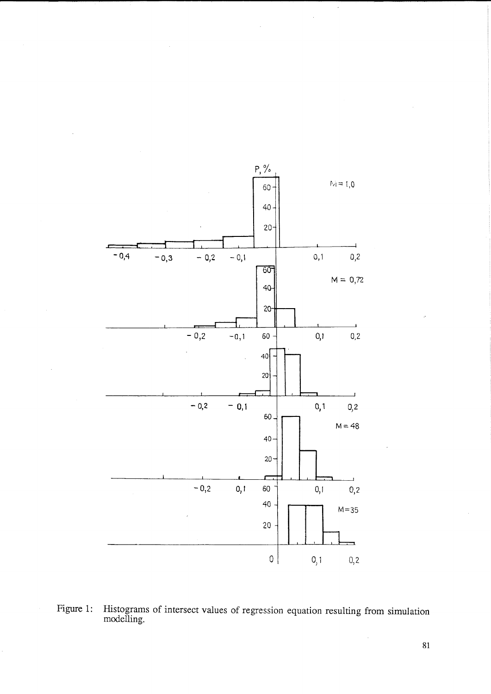

 $\bar{\mathcal{A}}$ 

 $\mathcal{A}$ 

 $\hat{\mathcal{L}}$ 

Figure 1: Histograms of intersect values of regression equation resulting from simulation modelling.

 $\hat{\boldsymbol{\beta}}$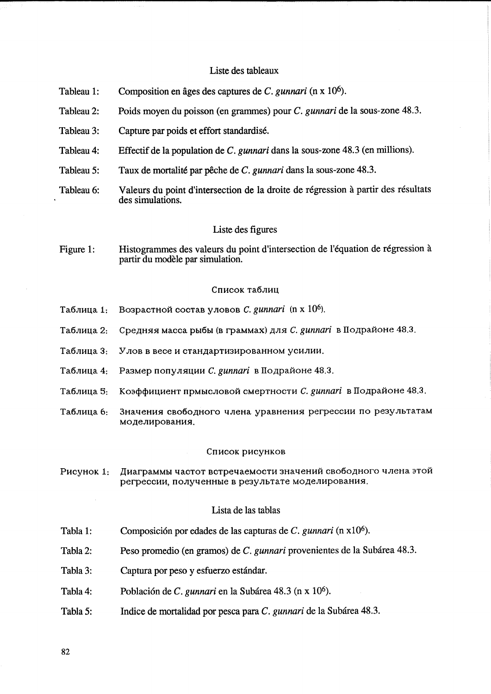# Liste des tableaux

- Tableau 1: Composition en ages des captures de C. *gunnari* (n x 106).
- Tableau 2: Poids moyen du poisson (en grammes) pour C. *gunnari* de la sous-zone 48.3.
- Tableau 3: Capture par poids et effort standardise.
- Tableau 4: Effectif de la population de C. *gunnari* dans la sous-zone 48.3 (en millions).
- Tableau 5: Taux de mortalite par peche de C. *gunnari* dans la sous-zone 48.3.
- Tableau 6: Valeurs du point d'intersection de la droite de regression a partir des resultats des simulations.

### Liste des figures

Figure 1: Histogrammes des valeurs du point d'intersection de l'équation de régression à partir du modele par simulation.

### Список таблиц

- Ta6Jmu;a 1: B03pacTHoti COCTaB YJIOBOB C. *gunnari* (n x 106).
- Таблица 2: Средняя масса рыбы (в граммах) для *С. gunnari* в Подрайоне 48.3.
- Таблица 3: Улов в весе и стандартизированном усилии.
- Таблица 4: Размер популяции *С. gunnari* в Подрайоне 48.3.
- Таблица 5: Коэффициент прмысловой смертности *С. gunnari* в Подрайоне 48.3.
- Таблица 6: Значения свободного члена уравнения регрессии по результатам моделирования.

#### Список рисунков

Рисунок 1: Диаграммы частот встречаемости значений свободного члена этой регрессии, полученные в результате моделирования.

# Lista de las tablas

- Tabla 1: Composici6n por edades de las capturas de C. *gunnari* (n x106).
- Tabla2: Peso promedio (en gramos) de C. *gunnari* provenientes de la Subárea 48.3.
- Tabla 3: Captura por peso y esfuerzo estandar.
- Tabla4: Población de C. *gunnari* en la Subárea 48.3 (n x 10<sup>6</sup>).
- Tabla 5: Indice de mortalidad por pesca para C. *gunnari* de la Subárea 48.3.